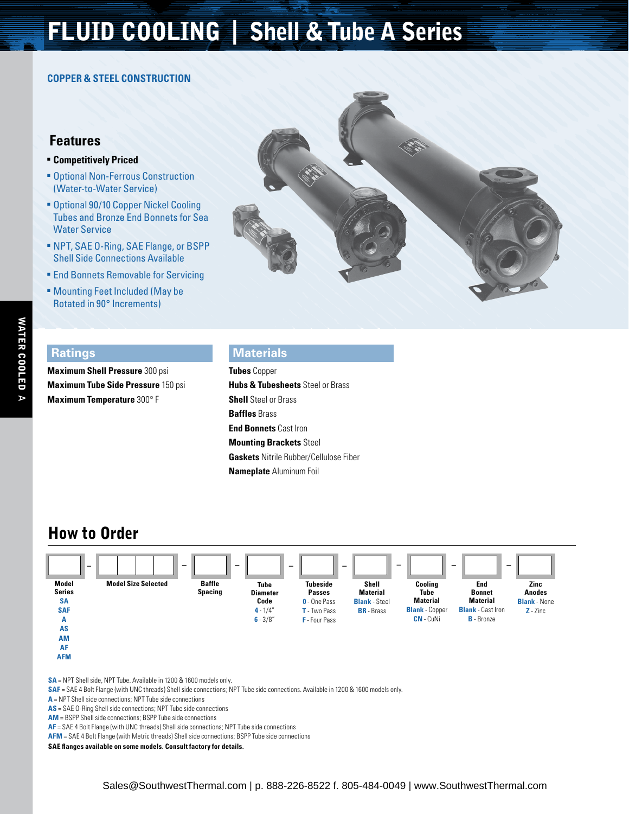# FLUID COOLING | Shell & Tube A Series

#### **Copper & Steel Construction**

### **Features**

#### **E** Competitively Priced

- **Optional Non-Ferrous Construction** (Water-to-Water Service)
- **Optional 90/10 Copper Nickel Cooling** Tubes and Bronze End Bonnets for Sea Water Service
- <sup>n</sup> NPT, SAE O-Ring, SAE Flange, or BSPP Shell Side Connections Available
- **End Bonnets Removable for Servicing**
- **Mounting Feet Included (May be** Rotated in 90° Increments)



#### **Ratings**

**Maximum Shell Pressure** 300 psi **Maximum Tube Side Pressure** 150 psi **Maximum Temperature** 300° F

#### **Materials**

**Tubes** Copper **Hubs & Tubesheets** Steel or Brass **Shell** Steel or Brass **Baffles** Brass **End Bonnets** Cast Iron **Mounting Brackets** Steel **Gaskets** Nitrile Rubber/Cellulose Fiber **Nameplate** Aluminum Foil

### How to Order



**SA** = NPT Shell side, NPT Tube. Available in 1200 & 1600 models only.

**SAF** = SAE 4 Bolt Flange (with UNC threads) Shell side connections; NPT Tube side connections. Available in 1200 & 1600 models only.

**A** = NPT Shell side connections; NPT Tube side connections

**AS** = SAE O-Ring Shell side connections; NPT Tube side connections

**AM** = BSPP Shell side connections; BSPP Tube side connections

**AF** = SAE 4 Bolt Flange (with UNC threads) Shell side connections; NPT Tube side connections

**AFM** = SAE 4 Bolt Flange (with Metric threads) Shell side connections; BSPP Tube side connections

**SAE flanges available on some models. Consult factory for details.**